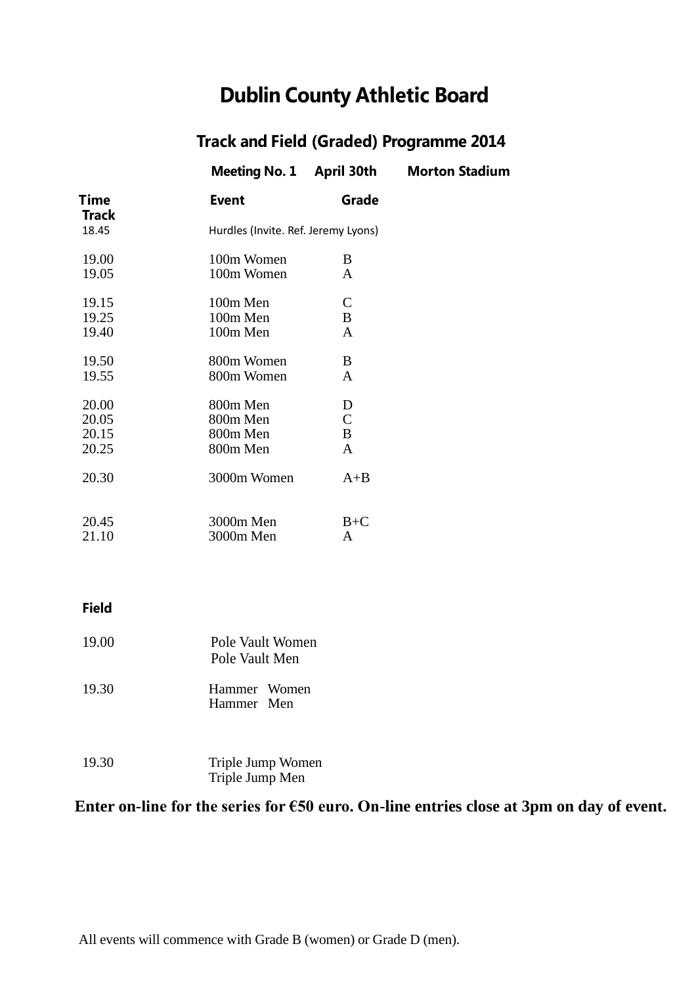## **Track and Field (Graded) Programme 2014**

|                      | <b>Meeting No. 1 April 30th</b>     |              | <b>Morton Stadium</b> |
|----------------------|-------------------------------------|--------------|-----------------------|
| Time<br><b>Track</b> | <b>Event</b>                        | Grade        |                       |
| 18.45                | Hurdles (Invite. Ref. Jeremy Lyons) |              |                       |
| 19.00                | 100m Women                          | B            |                       |
| 19.05                | 100m Women                          | A            |                       |
| 19.15                | 100m Men                            | $\mathsf{C}$ |                       |
| 19.25                | 100m Men                            | B            |                       |
| 19.40                | 100m Men                            | A            |                       |
| 19.50                | 800m Women                          | B            |                       |
| 19.55                | 800m Women                          | $\mathbf{A}$ |                       |
| 20.00                | 800m Men                            | D            |                       |
| 20.05                | 800m Men                            | $\mathsf{C}$ |                       |
| 20.15                | 800m Men                            | B            |                       |
| 20.25                | 800m Men                            | $\mathbf{A}$ |                       |
| 20.30                | 3000m Women                         | $A+B$        |                       |
| 20.45<br>21.10       | 3000m Men<br>3000m Men              | $B+C$<br>A   |                       |
|                      |                                     |              |                       |

#### **Field**

| 19.00 | Pole Vault Women<br>Pole Vault Men |  |
|-------|------------------------------------|--|
| 19.30 | Hammer Women<br>Hammer Men         |  |

| 19.30 | Triple Jump Women |
|-------|-------------------|
|       | Triple Jump Men   |

### **Enter on-line for the series for €50 euro. On-line entries close at 3pm on day of event.**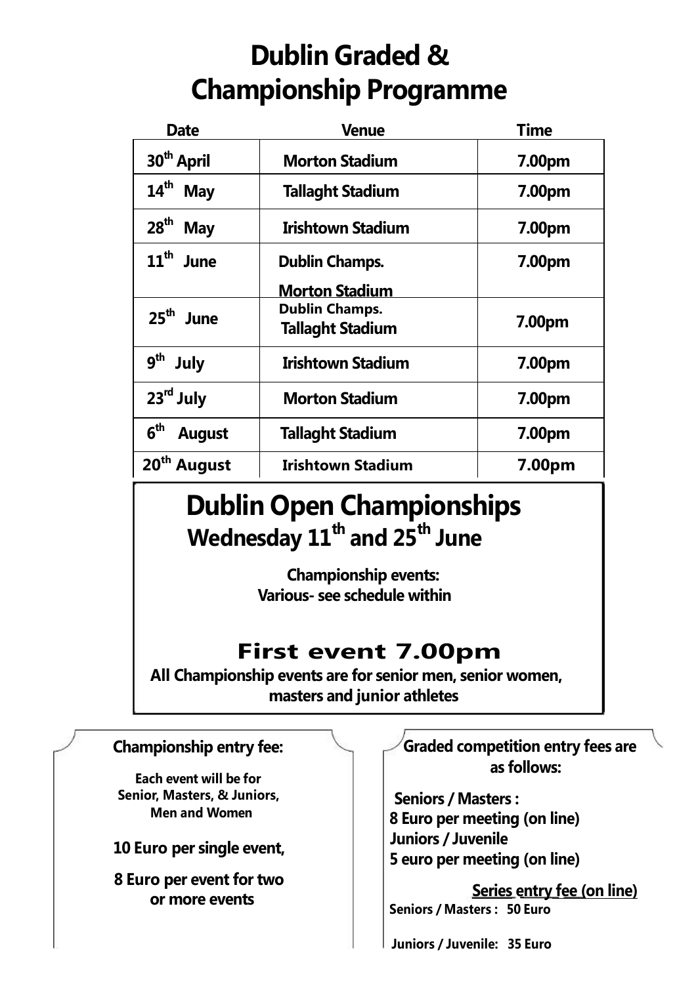# **Dublin Graded & Championship Programme**

| <b>Date</b>                      | <b>Venue</b>                                     | <b>Time</b> |
|----------------------------------|--------------------------------------------------|-------------|
| 30 <sup>th</sup> April           | <b>Morton Stadium</b>                            | 7.00pm      |
| 14 <sup>th</sup> May             | <b>Tallaght Stadium</b>                          | 7.00pm      |
| 28 <sup>th</sup><br><b>May</b>   | <b>Irishtown Stadium</b>                         | 7.00pm      |
| 11 <sup>th</sup><br>June         | <b>Dublin Champs.</b>                            | 7.00pm      |
|                                  | <b>Morton Stadium</b>                            |             |
| $25th$ June                      | <b>Dublin Champs.</b><br><b>Tallaght Stadium</b> | 7.00pm      |
| 9 <sup>th</sup> July             | <b>Irishtown Stadium</b>                         | 7.00pm      |
| 23rd July                        | <b>Morton Stadium</b>                            | 7.00pm      |
| 6 <sup>th</sup><br><b>August</b> | <b>Tallaght Stadium</b>                          | 7.00pm      |
| 20 <sup>th</sup> August          | <b>Irishtown Stadium</b>                         | 7.00pm      |

# **Dublin Open Championships Wednesday 11th and 25th June**

**Championship events: Various- see schedule within**

## **First event 7.00pm**

**All Championship events are for senior men, senior women, masters and junior athletes**

### **Championship entry fee:**

**Each event will be for Senior, Masters, & Juniors, Men and Women**

**10 Euro per single event,**

**8 Euro per event fortwo or more events**

**Graded competition entry fees are as follows:**

**Seniors / Masters : 8 Euro per meeting (on line) Juniors / Juvenile 5 euro per meeting (on line)**

**Series entry fee (on line) Seniors / Masters : 50 Euro**

**Juniors / Juvenile: 35 Euro**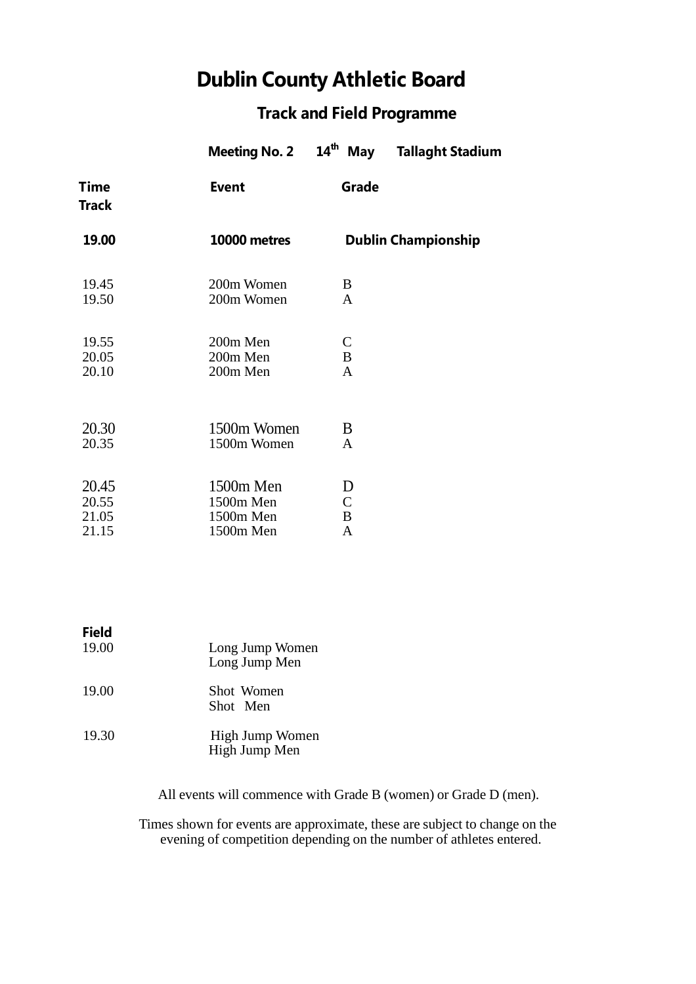### **Track and Field Programme**

|                             | <b>Meeting No. 2</b> | 14 <sup>th</sup> May<br><b>Tallaght Stadium</b> |
|-----------------------------|----------------------|-------------------------------------------------|
| <b>Time</b><br><b>Track</b> | <b>Event</b>         | Grade                                           |
| 19.00                       | 10000 metres         | <b>Dublin Championship</b>                      |
| 19.45                       | 200m Women           | B                                               |
| 19.50                       | 200m Women           | $\mathbf{A}$                                    |
| 19.55                       | 200m Men             | $\mathcal{C}$                                   |
| 20.05                       | 200m Men             | $\bf{B}$                                        |
| 20.10                       | 200m Men             | $\mathbf{A}$                                    |
| 20.30                       | 1500m Women          | B                                               |
| 20.35                       | 1500m Women          | $\mathbf{A}$                                    |
| 20.45                       | 1500m Men            | D                                               |
| 20.55                       | 1500m Men            | $\mathcal{C}$                                   |
| 21.05                       | 1500m Men            | B                                               |
| 21.15                       | 1500m Men            | A                                               |

| <b>Field</b> |                                  |
|--------------|----------------------------------|
| 19.00        | Long Jump Women<br>Long Jump Men |
|              |                                  |

- 19.00 Shot Women Shot Men
- 19.30 High Jump Women High Jump Men

All events will commence with Grade B (women) or Grade D (men).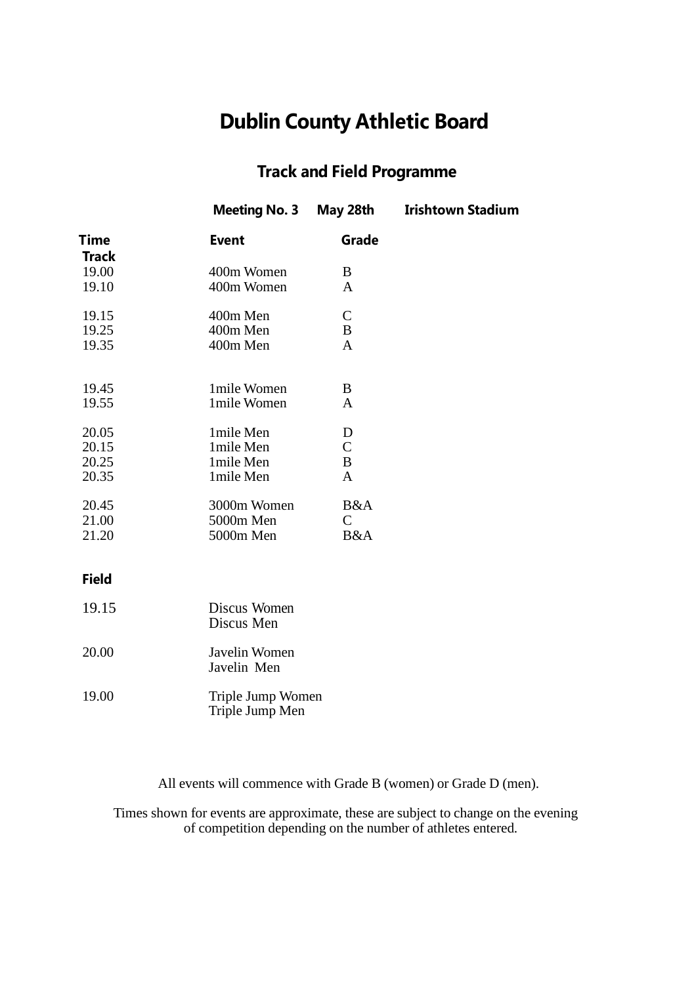### **Track and Field Programme**

|                      | <b>Meeting No. 3</b> | May 28th     | <b>Irishtown Stadium</b> |
|----------------------|----------------------|--------------|--------------------------|
| Time<br><b>Track</b> | <b>Event</b>         | Grade        |                          |
| 19.00                | 400m Women           | B            |                          |
| 19.10                | 400m Women           | A            |                          |
| 19.15                | 400m Men             | $\mathbf C$  |                          |
| 19.25                | 400m Men             | B            |                          |
| 19.35                | 400m Men             | $\mathbf{A}$ |                          |
| 19.45                | 1mile Women          | B            |                          |
| 19.55                | 1mile Women          | A            |                          |
| 20.05                | 1 mile Men           | D            |                          |
| 20.15                | 1mile Men            | $\mathbf C$  |                          |
| 20.25                | 1 mile Men           | B            |                          |
| 20.35                | 1mile Men            | A            |                          |
| 20.45                | 3000m Women          | B&A          |                          |
| 21.00                | 5000m Men            | $\mathsf{C}$ |                          |
| 21.20                | 5000m Men            | B&A          |                          |
| <b>Field</b>         |                      |              |                          |

| 19.15 | Discus Women<br>Discus Men   |
|-------|------------------------------|
| 20.00 | Javelin Women<br>Javelin Men |
| 19.00 | Triple Jump Women            |

Triple Jump Men

All events will commence with Grade B (women) or Grade D (men).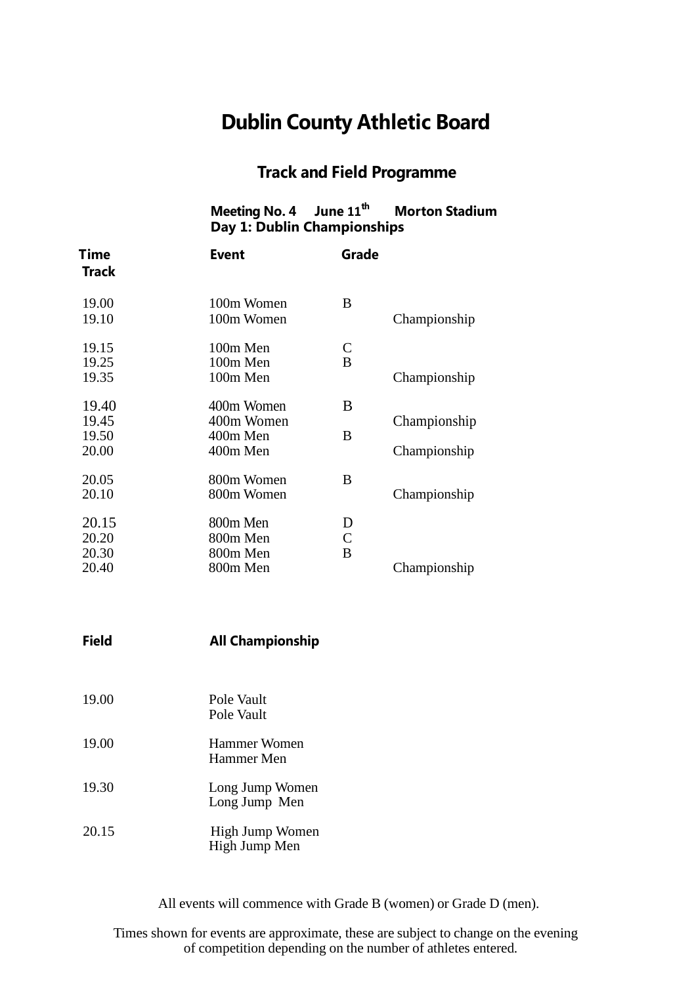### **Track and Field Programme**

| Meeting No. 4 June 11 <sup>th</sup> | <b>Morton Stadium</b> |
|-------------------------------------|-----------------------|
| Day 1: Dublin Championships         |                       |

| Time<br><b>Track</b> | <b>Event</b> | Grade         |              |
|----------------------|--------------|---------------|--------------|
| 19.00                | 100m Women   | B             |              |
| 19.10                | 100m Women   |               | Championship |
| 19.15                | 100m Men     | $\mathsf{C}$  |              |
| 19.25                | 100m Men     | B             |              |
| 19.35                | 100m Men     |               | Championship |
| 19.40                | 400m Women   | B             |              |
| 19.45                | 400m Women   |               | Championship |
| 19.50                | 400m Men     | B             |              |
| 20.00                | 400m Men     |               | Championship |
| 20.05                | 800m Women   | B             |              |
| 20.10                | 800m Women   |               | Championship |
| 20.15                | 800m Men     | D             |              |
| 20.20                | 800m Men     | $\mathcal{C}$ |              |
| 20.30                | 800m Men     | B             |              |
| 20.40                | 800m Men     |               | Championship |

#### **Field All Championship**

- 19.00 Pole Vault Pole Vault
- 19.00 Hammer Women Hammer Men
- 19.30 Long Jump Women Long Jump Men
- 20.15 High Jump Women High Jump Men

All events will commence with Grade B (women) or Grade D (men).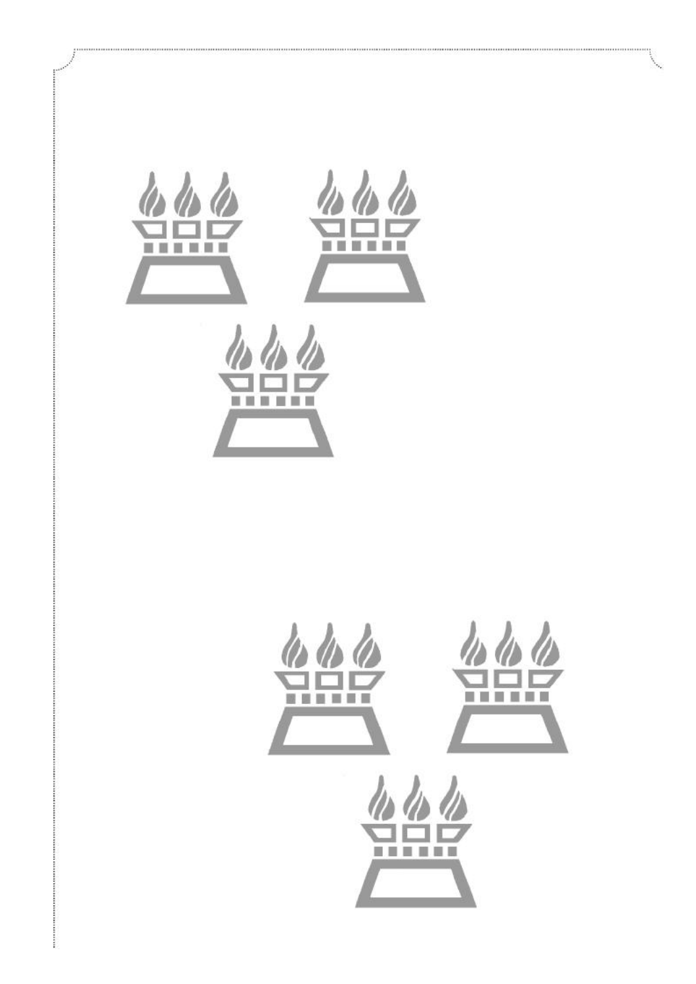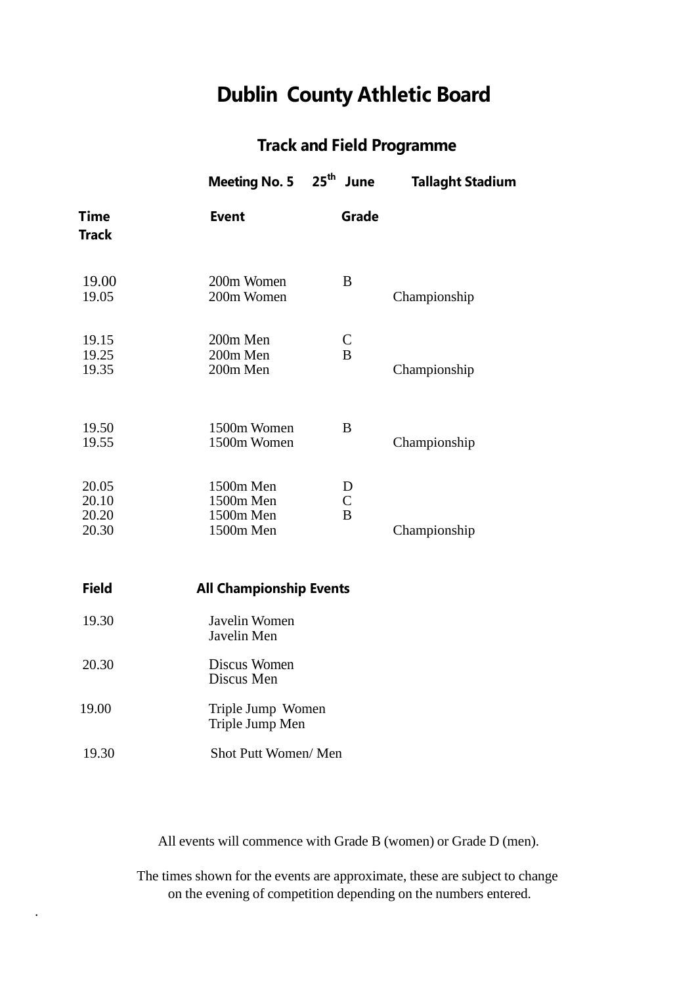### **Track and Field Programme**

|                                  | 25 <sup>th</sup><br><b>Meeting No. 5</b>         | June                           | <b>Tallaght Stadium</b> |
|----------------------------------|--------------------------------------------------|--------------------------------|-------------------------|
| <b>Time</b><br><b>Track</b>      | <b>Event</b>                                     | Grade                          |                         |
| 19.00<br>19.05                   | 200m Women<br>200m Women                         | B                              | Championship            |
| 19.15<br>19.25<br>19.35          | 200m Men<br>200m Men<br>200m Men                 | $\mathcal{C}$<br>B             | Championship            |
| 19.50<br>19.55                   | 1500m Women<br>1500m Women                       | B                              | Championship            |
| 20.05<br>20.10<br>20.20<br>20.30 | 1500m Men<br>1500m Men<br>1500m Men<br>1500m Men | D<br>$\mathcal{C}$<br>$\bf{B}$ | Championship            |
| <b>Field</b>                     | <b>All Championship Events</b>                   |                                |                         |
| 19.30                            | Javelin Women<br>Javelin Men                     |                                |                         |
| 20.30                            | Discus Women<br>Discus Men                       |                                |                         |
| 19.00                            | Triple Jump Women<br>Triple Jump Men             |                                |                         |
| 19.30                            | Shot Putt Women/Men                              |                                |                         |

All events will commence with Grade B (women) or Grade D (men).

The times shown for the events are approximate, these are subject to change on the evening of competition depending on the numbers entered.

.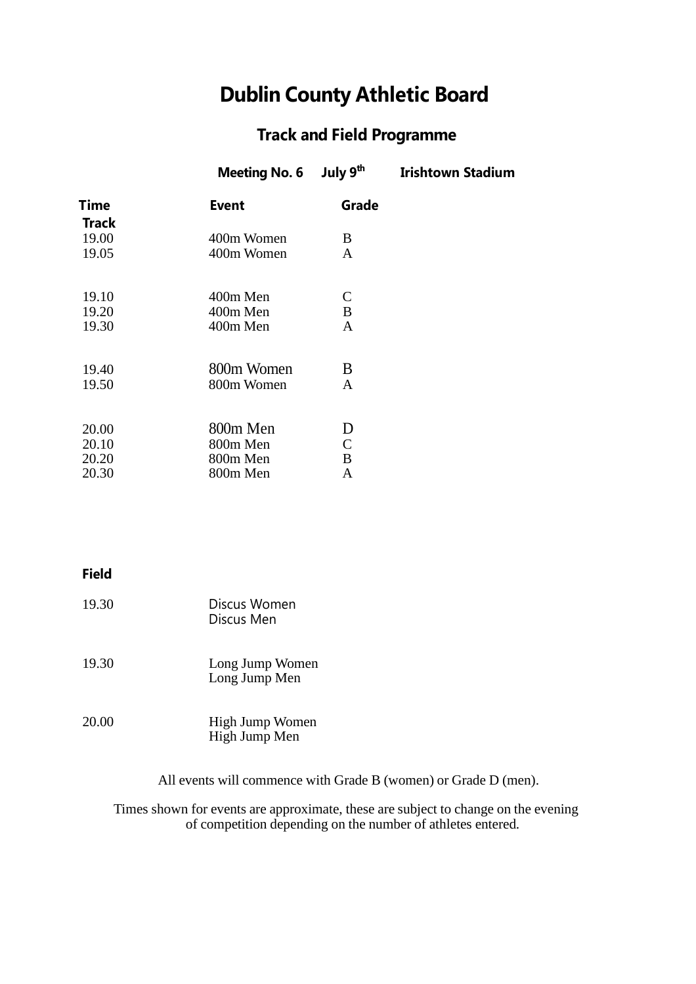### **Track and Field Programme**

|              | <b>Meeting No. 6</b> | July 9 <sup>th</sup> | <b>Irishtown Stadium</b> |
|--------------|----------------------|----------------------|--------------------------|
| Time         | <b>Event</b>         | Grade                |                          |
| <b>Track</b> |                      |                      |                          |
| 19.00        | 400m Women           | B                    |                          |
| 19.05        | 400m Women           | A                    |                          |
| 19.10        | 400m Men             | C                    |                          |
| 19.20        | 400m Men             | B                    |                          |
| 19.30        | 400m Men             | A                    |                          |
| 19.40        | 800m Women           | B                    |                          |
| 19.50        | 800m Women           | A                    |                          |
|              |                      |                      |                          |
| 20.00        | 800m Men             | D                    |                          |
| 20.10        | 800m Men             | $\mathsf{C}$         |                          |
| 20.20        | 800m Men             | B                    |                          |
| 20.30        | 800m Men             | A                    |                          |

#### **Field**

| 19.30 | Discus Women<br>Discus Men       |
|-------|----------------------------------|
| 19.30 | Long Jump Women<br>Long Jump Men |
| 20.00 | High Jump Women<br>High Jump Men |

All events will commence with Grade B (women) or Grade D (men).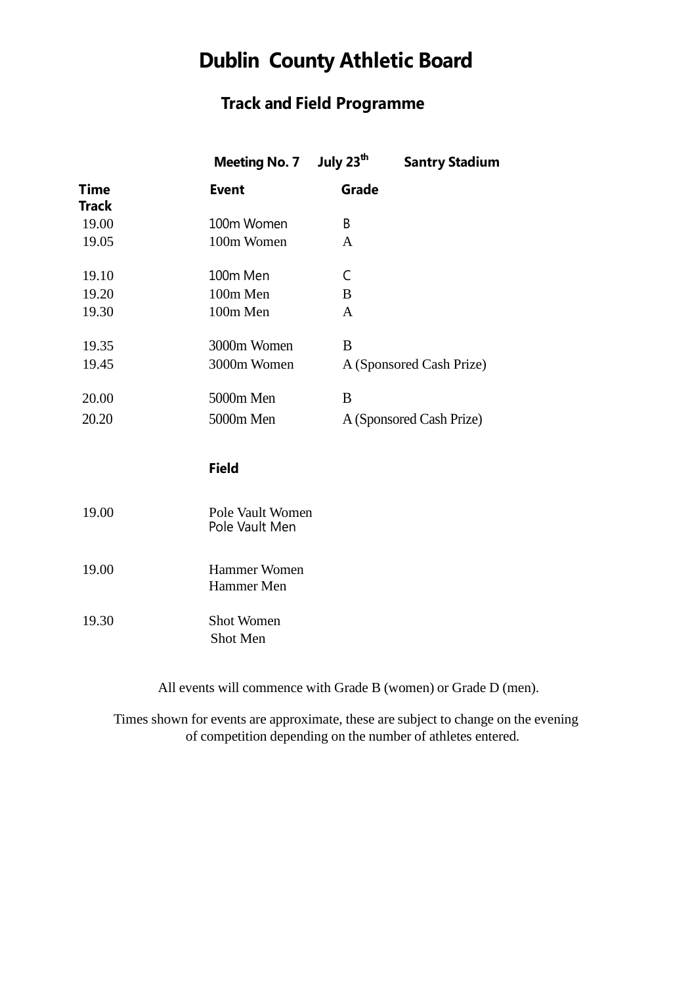### **Track and Field Programme**

|              | <b>Meeting No. 7</b> | July 23 <sup>th</sup> | <b>Santry Stadium</b>    |
|--------------|----------------------|-----------------------|--------------------------|
| <b>Time</b>  | <b>Event</b>         | Grade                 |                          |
| <b>Track</b> |                      |                       |                          |
| 19.00        | 100m Women           | B                     |                          |
| 19.05        | 100m Women           | A                     |                          |
| 19.10        | 100m Men             | C                     |                          |
| 19.20        | $100m$ Men           | B                     |                          |
| 19.30        | 100m Men             | A                     |                          |
| 19.35        | 3000m Women          | B                     |                          |
| 19.45        | 3000m Women          |                       | A (Sponsored Cash Prize) |
| 20.00        | 5000m Men            | B                     |                          |
| 20.20        | 5000m Men            |                       | A (Sponsored Cash Prize) |
|              |                      |                       |                          |
|              |                      |                       |                          |

#### **Field**

| 19.00 | Pole Vault Women<br>Pole Vault Men |
|-------|------------------------------------|
| 19.00 | Hammer Women<br>Hammer Men         |

19.30 Shot Women Shot Men

All events will commence with Grade B (women) or Grade D (men).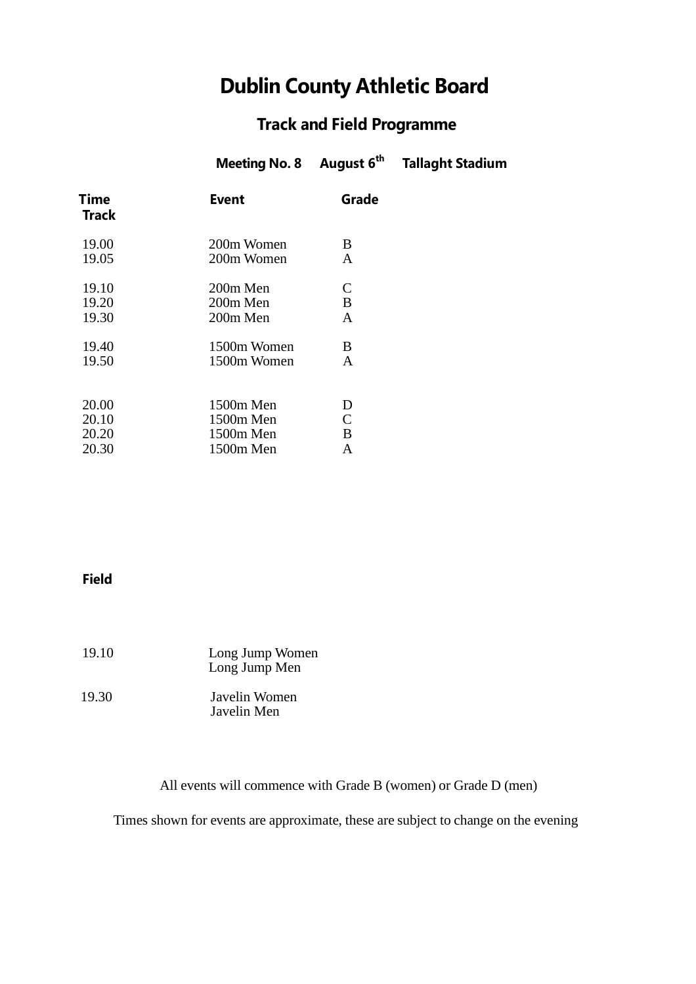## **Track and Field Programme**

|                      | <b>Meeting No. 8</b> | August 6 <sup>th</sup> | <b>Tallaght Stadium</b> |
|----------------------|----------------------|------------------------|-------------------------|
| Time<br><b>Track</b> | <b>Event</b>         | Grade                  |                         |
| 19.00                | 200m Women           | B                      |                         |
| 19.05                | 200m Women           | A                      |                         |
| 19.10                | 200m Men             | $\mathsf{C}$           |                         |
| 19.20                | 200m Men             | B                      |                         |
| 19.30                | 200m Men             | A                      |                         |
| 19.40                | 1500m Women          | B                      |                         |
| 19.50                | 1500m Women          | A                      |                         |
|                      |                      |                        |                         |
| 20.00                | 1500m Men            | D                      |                         |
| 20.10                | 1500m Men            | $\mathsf{C}$           |                         |
| 20.20                | 1500m Men            | B                      |                         |
| 20.30                | 1500m Men            | A                      |                         |
|                      |                      |                        |                         |

#### **Field**

19.10 Long Jump Women Long Jump Men

19.30 Javelin Women Javelin Men

All events will commence with Grade B (women) or Grade D (men)

Times shown for events are approximate, these are subject to change on the evening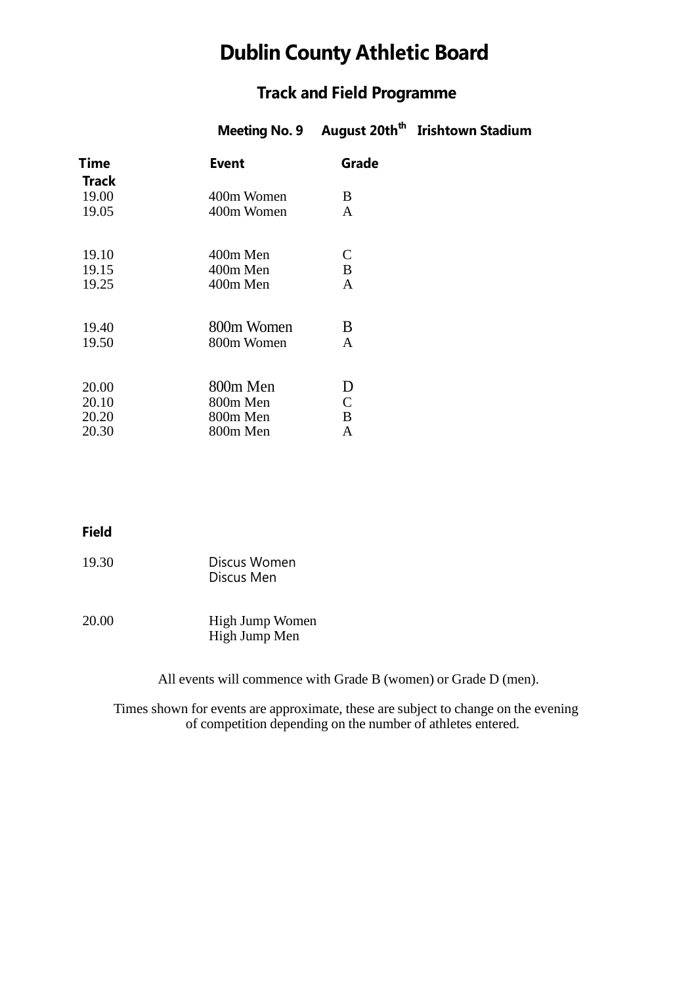### **Track and Field Programme**

| <b>Meeting No. 9</b> |  |  |
|----------------------|--|--|
|----------------------|--|--|

**Meeting No. 9 August 20thth Irishtown Stadium**

| Time<br><b>Track</b> | <b>Event</b> | Grade          |
|----------------------|--------------|----------------|
| 19.00                | 400m Women   | B              |
| 19.05                | 400m Women   | A              |
| 19.10                | 400m Men     | $\overline{C}$ |
| 19.15                | 400m Men     | B              |
| 19.25                | 400m Men     | A              |
| 19.40                | 800m Women   | B              |
| 19.50                | 800m Women   | A              |
| 20.00                | 800m Men     | D              |
| 20.10                | 800m Men     | C              |
| 20.20                | 800m Men     | B              |
| 20.30                | 800m Men     | A              |
|                      |              |                |

#### **Field**

| 19.30 | Discus Women |
|-------|--------------|
|       | Discus Men   |
|       |              |

| 20.00 | High Jump Women |
|-------|-----------------|
|       | High Jump Men   |

All events will commence with Grade B (women) or Grade D (men).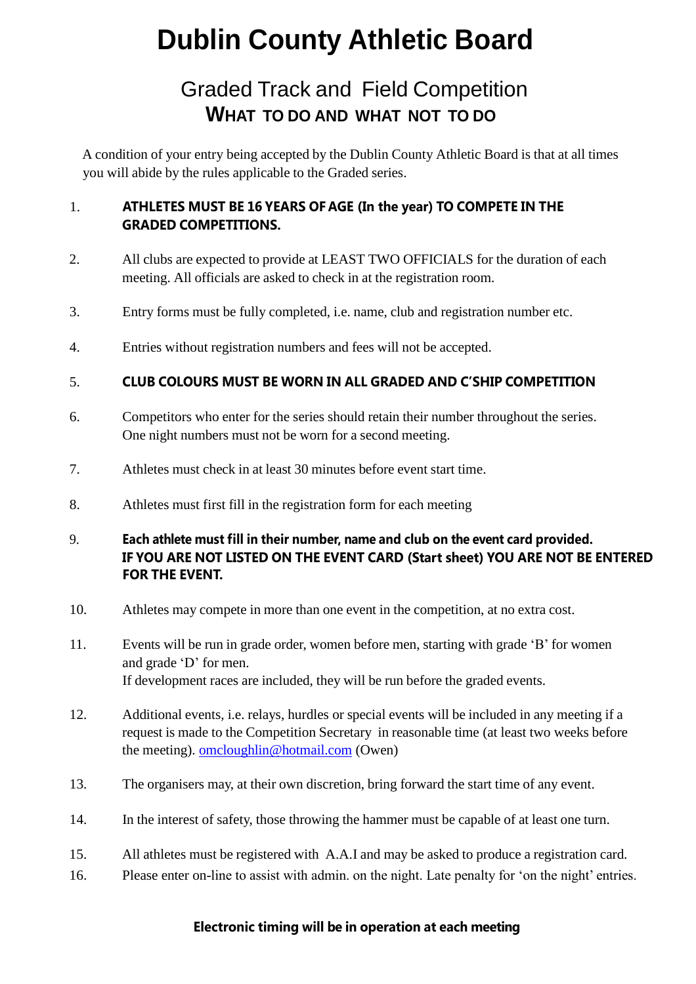## Graded Track and Field Competition **WHAT TO DO AND WHAT NOT TO DO**

A condition of your entry being accepted by the Dublin County Athletic Board is that at all times you will abide by the rules applicable to the Graded series.

### 1. **ATHLETES MUST BE 16 YEARS OF AGE (In the year) TO COMPETE IN THE GRADED COMPETITIONS.**

- 2. All clubs are expected to provide at LEAST TWO OFFICIALS for the duration of each meeting. All officials are asked to check in at the registration room.
- 3. Entry forms must be fully completed, i.e. name, club and registration number etc.
- 4. Entries without registration numbers and fees will not be accepted.

#### 5. **CLUB COLOURS MUST BE WORN IN ALL GRADED AND C'SHIP COMPETITION**

- 6. Competitors who enter for the series should retain their number throughout the series. One night numbers must not be worn for a second meeting.
- 7. Athletes must check in at least 30 minutes before event start time.
- 8. Athletes must first fill in the registration form for each meeting

#### 9. **Each athlete must fill in their number, name and club on the event card provided. IF YOU ARE NOT LISTED ON THE EVENT CARD (Start sheet) YOU ARE NOT BE ENTERED FOR THE EVENT.**

- 10. Athletes may compete in more than one event in the competition, at no extra cost.
- 11. Events will be run in grade order, women before men, starting with grade 'B' for women and grade 'D' for men. If development races are included, they will be run before the graded events.
- 12. Additional events, i.e. relays, hurdles or special events will be included in any meeting if a request is made to the Competition Secretary in reasonable time (at least two weeks before the meeting). [omcloughlin@hotmail.com](mailto:omcloughlin@hotmail.com) (Owen)
- 13. The organisers may, at their own discretion, bring forward the start time of any event.
- 14. In the interest of safety, those throwing the hammer must be capable of at least one turn.
- 15. All athletes must be registered with A.A.I and may be asked to produce a registration card.
- 16. Please enter on-line to assist with admin. on the night. Late penalty for 'on the night' entries.

#### **Electronic timing will be in operation at each meeting**